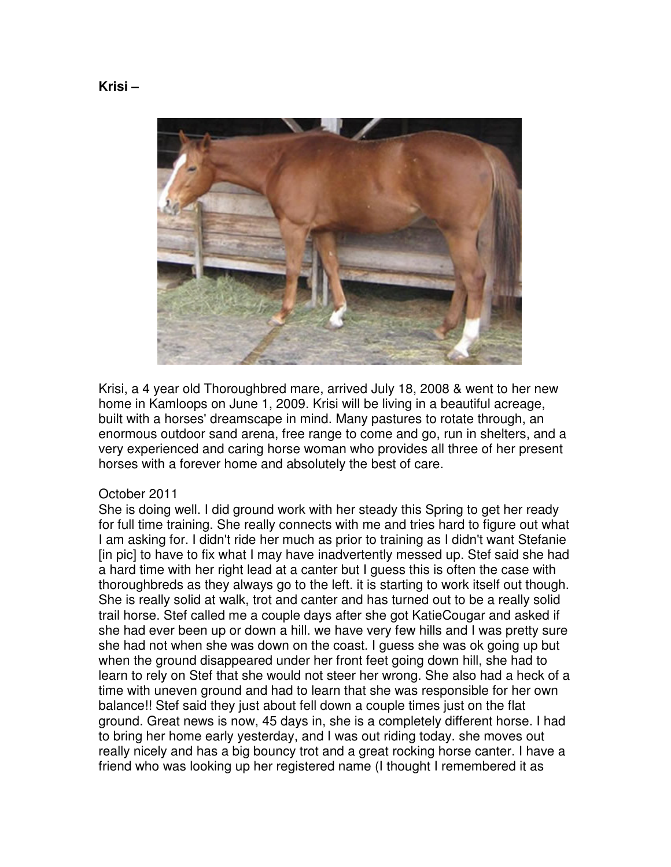

Krisi, a 4 year old Thoroughbred mare, arrived July 18, 2008 & went to her new home in Kamloops on June 1, 2009. Krisi will be living in a beautiful acreage, built with a horses' dreamscape in mind. Many pastures to rotate through, an enormous outdoor sand arena, free range to come and go, run in shelters, and a very experienced and caring horse woman who provides all three of her present horses with a forever home and absolutely the best of care.

## October 2011

She is doing well. I did ground work with her steady this Spring to get her ready for full time training. She really connects with me and tries hard to figure out what I am asking for. I didn't ride her much as prior to training as I didn't want Stefanie [in pic] to have to fix what I may have inadvertently messed up. Stef said she had a hard time with her right lead at a canter but I guess this is often the case with thoroughbreds as they always go to the left. it is starting to work itself out though. She is really solid at walk, trot and canter and has turned out to be a really solid trail horse. Stef called me a couple days after she got KatieCougar and asked if she had ever been up or down a hill. we have very few hills and I was pretty sure she had not when she was down on the coast. I guess she was ok going up but when the ground disappeared under her front feet going down hill, she had to learn to rely on Stef that she would not steer her wrong. She also had a heck of a time with uneven ground and had to learn that she was responsible for her own balance!! Stef said they just about fell down a couple times just on the flat ground. Great news is now, 45 days in, she is a completely different horse. I had to bring her home early yesterday, and I was out riding today. she moves out really nicely and has a big bouncy trot and a great rocking horse canter. I have a friend who was looking up her registered name (I thought I remembered it as

**Krisi –**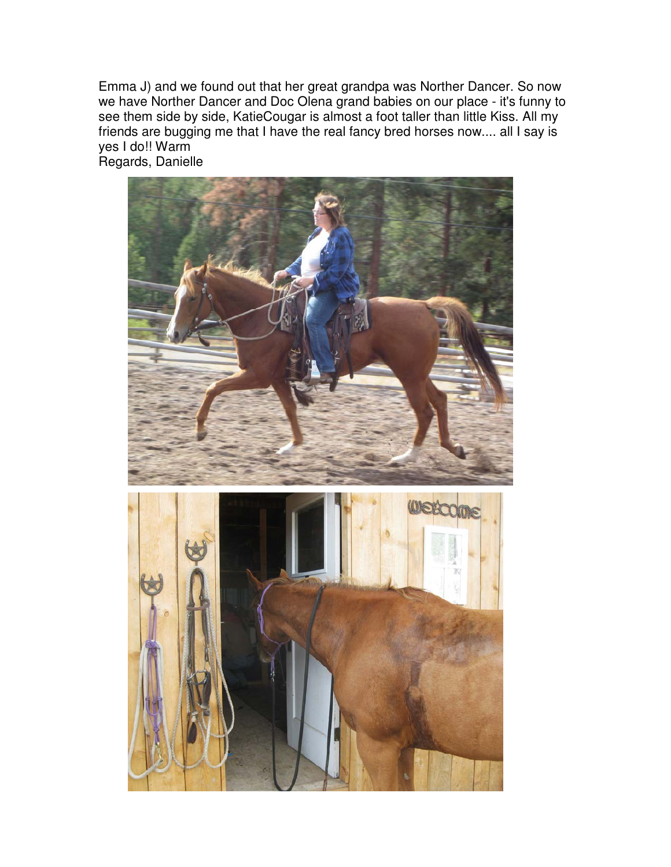Emma J) and we found out that her great grandpa was Norther Dancer. So now we have Norther Dancer and Doc Olena grand babies on our place - it's funny to see them side by side, KatieCougar is almost a foot taller than little Kiss. All my friends are bugging me that I have the real fancy bred horses now.... all I say is yes I do!! Warm Regards, Danielle